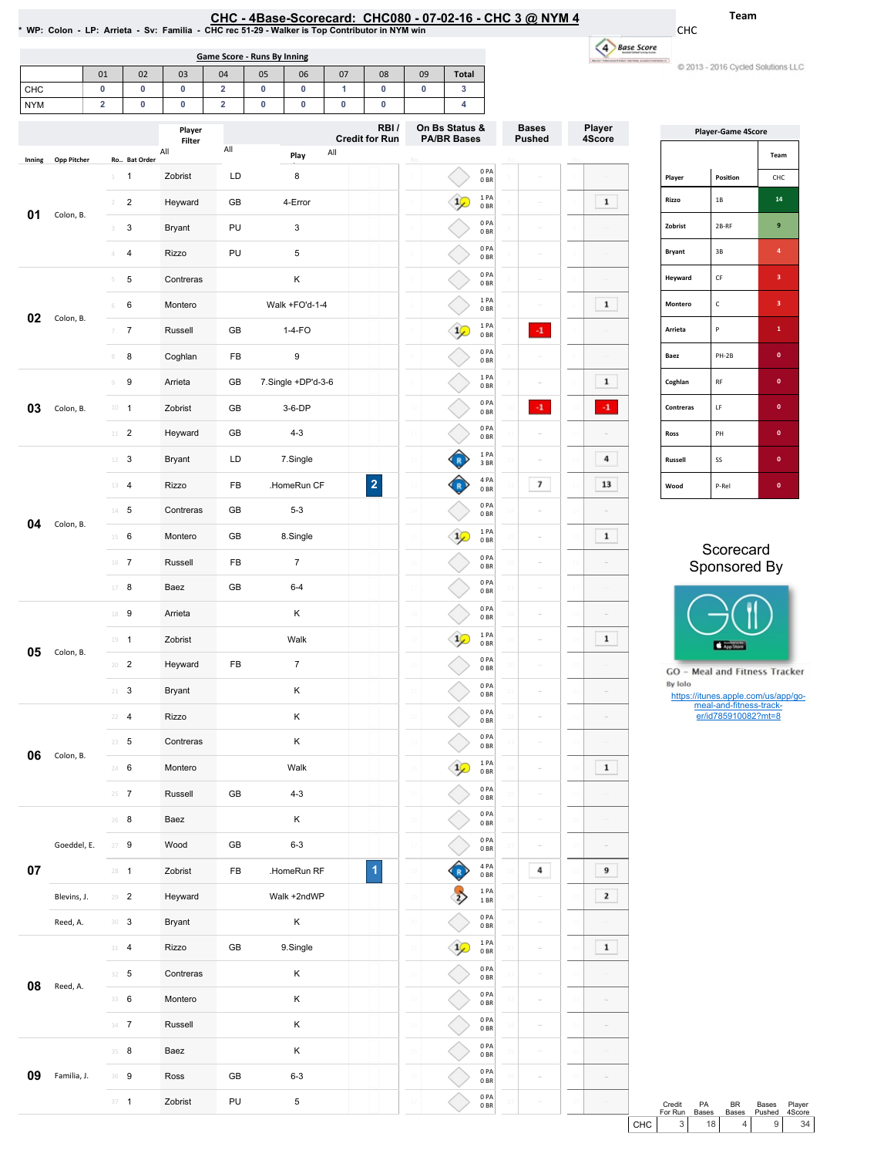| CHC - 4Base-Scorecard: CHC080 - 07-02-16 - CHC 3 @ NYM 4                                       |
|------------------------------------------------------------------------------------------------|
| * WP: Colon - LP: Arrieta - Sv: Familia - CHC rec 51-29 - Walker is Top Contributor in NYM win |

CHC

4 Base Score

u)

Team

C 2013 - 2016 Cycled Solutions LLC

| Game Score - Runs By Inning |    |    |    |    |    |    |    |    |    |              |  |  |  |
|-----------------------------|----|----|----|----|----|----|----|----|----|--------------|--|--|--|
|                             | 01 | 02 | 03 | 04 | 05 | 06 | 07 | 08 | 09 | <b>Total</b> |  |  |  |
| CHC                         |    |    |    |    |    |    |    |    |    |              |  |  |  |
| <b>NYM</b>                  |    |    |    |    |    |    |    |    |    |              |  |  |  |

|        |                    |                                  | Player<br>Filter |     |                           | RBI/<br><b>Credit for Run</b> |                | On Bs Status &<br><b>PA/BR Bases</b> |                         |    | <b>Bases</b><br><b>Pushed</b> |    | Player<br>4Score |
|--------|--------------------|----------------------------------|------------------|-----|---------------------------|-------------------------------|----------------|--------------------------------------|-------------------------|----|-------------------------------|----|------------------|
| Inning | <b>Opp Pitcher</b> | Ro Bat Order                     | All              | All | All<br>Play               |                               |                |                                      |                         |    |                               |    |                  |
|        |                    | $\mathbf{1}$<br>$\mathbf{1}$     | Zobrist          | LD  | 8                         |                               |                |                                      | 0PA<br>0 <sub>BR</sub>  |    |                               |    |                  |
|        |                    | $\overline{c}$<br>$\overline{2}$ | Heyward          | GB  | 4-Error                   |                               |                | $1\sqrt{ }$                          | 1PA<br>0 <sub>BR</sub>  |    | ú.                            |    | 1                |
| 01     | Colon, B.          | 3<br>$\ensuremath{\mathsf{3}}$   | Bryant           | PU  | $\ensuremath{\mathsf{3}}$ |                               |                |                                      | 0PA<br>0 <sub>BR</sub>  |    | G.                            |    |                  |
|        |                    | 4<br>4                           | <b>Rizzo</b>     | PU  | $\mathbf 5$               |                               |                |                                      | 0PA<br>0 <sub>BR</sub>  |    | $\sim$                        |    |                  |
|        |                    | 5<br>5                           | Contreras        |     | Κ                         |                               |                |                                      | 0PA<br>0 <sub>BR</sub>  |    | ċ                             |    |                  |
|        |                    | 6<br>6                           | Montero          |     | Walk +FO'd-1-4            |                               |                |                                      | 1 PA<br>0 <sub>BR</sub> |    | ċ                             |    | 1                |
| 02     | Colon, B.          | $\boldsymbol{7}$<br>7            | Russell          | GB  | $1-4-FO$                  |                               |                | $1\sqrt{ }$                          | 1 PA<br>0 <sub>BR</sub> |    | $\cdot$ 1                     |    |                  |
|        |                    | 8<br>8                           | Coghlan          | FB  | 9                         |                               | 8              |                                      | 0PA<br>0 <sub>BR</sub>  |    |                               |    |                  |
|        |                    | 9<br>$\mathcal G$                | Arrieta          | GB  | 7.Single +DP'd-3-6        |                               | $\overline{q}$ |                                      | 1 PA<br>0 <sub>BR</sub> |    |                               |    | 1                |
| 03     | Colon, B.          | $10 - 1$                         | Zobrist          | GB  | 3-6-DP                    |                               | 10             |                                      | 0PA<br>0 <sub>BR</sub>  |    | $\cdot 1$                     |    | $\cdot 1$        |
|        |                    | $\overline{2}$<br>$11 -$         | Heyward          | GB  | $4 - 3$                   |                               |                |                                      | 0PA<br>0 <sub>BR</sub>  |    |                               |    |                  |
|        |                    | 3<br>12                          | Bryant           | LD  | 7.Single                  |                               |                |                                      | 1PA<br>3 BR             |    |                               |    | 4                |
|        |                    | 4<br>13                          | Rizzo            | FB  | .HomeRun CF               | $\overline{\mathbf{2}}$       |                |                                      | 4 PA<br>0 <sub>BR</sub> |    | 7                             |    | 13               |
|        |                    | 5<br>$14 -$                      | Contreras        | GB  | $5 - 3$                   |                               |                |                                      | 0PA<br>0 <sub>BR</sub>  |    | G.                            |    |                  |
| 04     | Colon, B.          | 6<br>15                          | Montero          | GB  | 8.Single                  |                               |                | $\frac{1}{2}$                        | 1 PA<br>0 <sub>BR</sub> |    | $\sim$                        |    | 1                |
|        |                    | $\overline{7}$<br>$16\,$         | Russell          | FB  | $\overline{7}$            |                               |                |                                      | 0PA<br>0 <sub>BR</sub>  |    |                               |    |                  |
|        |                    | 8<br>$17\,$                      | Baez             | GB  | $6 - 4$                   |                               |                |                                      | 0PA<br>0 <sub>BR</sub>  |    | ú.                            |    |                  |
|        |                    | 9<br>18                          | Arrieta          |     | Κ                         |                               |                |                                      | 0PA<br>0 <sub>BR</sub>  |    | c.                            |    |                  |
| 05     | Colon, B.          | $\overline{1}$<br>19             | Zobrist          |     | Walk                      |                               |                | $\frac{1}{2}$                        | 1PA<br>0 <sub>BR</sub>  | 19 | $\bar{m}$                     |    | 1                |
|        |                    | $\overline{2}$<br>20             | Heyward          | FB  | $\boldsymbol{7}$          |                               |                |                                      | 0 PA<br>0 <sub>BR</sub> |    | $\bar{a}$                     |    |                  |
|        |                    | 3<br>21                          | <b>Bryant</b>    |     | Κ                         |                               |                |                                      | 0PA<br>0 <sub>BR</sub>  |    | ċ                             |    |                  |
|        |                    | 4<br>22                          | <b>Rizzo</b>     |     | Κ                         |                               |                |                                      | 0PA<br>0 <sub>BR</sub>  |    | $\bar{a}$                     |    |                  |
| 06     | Colon, B.          | $\,$ 5 $\,$<br>23                | Contreras        |     | Κ                         |                               |                |                                      | 0PA<br>0 <sub>BR</sub>  |    | $\bar{m}$                     |    |                  |
|        |                    | 6<br>24                          | Montero          |     | Walk                      |                               |                | $\mathbf{1}$                         | 1PA<br>0 <sub>BR</sub>  |    |                               |    | 1                |
|        |                    | $25 \t 7$                        | Russell          | GB  | $4 - 3$                   |                               |                |                                      | 0PA<br>0B               |    |                               |    |                  |
|        |                    | $26 - 8$                         | Baez             |     | Κ                         |                               |                |                                      | 0PA<br>0BR              | 26 |                               | 2( |                  |
|        | Goeddel, E.        | $27 - 9$                         | Wood             | GB  | $6 - 3$                   |                               |                |                                      | 0PA<br>0BR              |    | $\bar{a}$                     |    |                  |
| 07     |                    | $28 - 1$                         | Zobrist          | FB  | .HomeRun RF               | $\overline{\mathbf{1}}$       |                |                                      | 4 PA<br>0BR             |    | 4                             |    | 9                |
|        | Blevins, J.        | $29 - 2$                         | Heyward          |     | Walk +2ndWP               |                               |                |                                      | 1PA<br>$1\;\mathrm{BR}$ |    |                               |    | 2                |
|        | Reed, A.           | $30-3$                           | Bryant           |     | Κ                         |                               |                |                                      | 0PA<br>0B               |    | c                             |    |                  |
|        |                    | $31 - 4$                         | Rizzo            | GB  | 9.Single                  |                               |                | $\frac{1}{2}$                        | 1 PA<br>0 <sub>BR</sub> |    | $\bar{a}$                     |    | 1                |
| 08     | Reed, A.           | $\,$ 5 $\,$<br>32                | Contreras        |     | Κ                         |                               |                |                                      | 0PA<br>0B               |    |                               |    |                  |
|        |                    | 33 6                             | Montero          |     | Κ                         |                               |                |                                      | 0PA<br>0B               |    | $\zeta_{\rm{SM}}$             |    |                  |
|        |                    | $34 - 7$                         | Russell          |     | Κ                         |                               |                |                                      | 0PA<br>0BR              |    | $\bar{m}$                     |    |                  |
|        |                    | 8<br>35                          | Baez             |     | Κ                         |                               |                |                                      | 0PA<br>0 <sub>BR</sub>  |    | $\bar{~}$                     |    |                  |
| 09     | Familia, J.        | 9<br>36                          | Ross             | GB  | $6 - 3$                   |                               |                |                                      | 0PA<br>0 <sub>BR</sub>  |    | ċ                             |    |                  |
|        |                    | $37 - 1$                         | Zobrist          | PU  | 5                         |                               |                |                                      | 0PA<br>0B               |    | Ġ.                            |    | $\bar{a}$        |

|                | <b>Player-Game 4Score</b> |                         |
|----------------|---------------------------|-------------------------|
|                |                           | Team                    |
| Player         | Position                  | CHC                     |
| Rizzo          | 1B                        | 14                      |
| Zobrist        | 2B-RF                     | 9                       |
| <b>Bryant</b>  | 3B                        | 4                       |
| Heyward        | CF                        | $\overline{\mathbf{3}}$ |
| Montero        | C                         | 3                       |
| Arrieta        | P                         | 1                       |
| Baez           | PH-2B                     | $\mathbf{0}$            |
| Coghlan        | RF                        | $\mathbf{0}$            |
| Contreras      | LF                        | $\mathbf{0}$            |
| Ross           | PH                        | O                       |
| <b>Russell</b> | SS                        | 0                       |
| Wood           | P-Rel                     | $\mathbf{0}$            |

### Scorecard Sponsored By



**GO** - Meal and Fitness Tracker By Iolo

https://itunes.apple.com/us/app/go-meal-and-fitness-track-er/id785910082?mt=8

```
Credit
ForRun
                         PA
Bases
                                      BR
Bases
Credit PA BR Bases Player<br>
For Run Bases Bases Pushed 4Score<br>
CHC 3 18 4 9 34
                                                               Player
4Score
```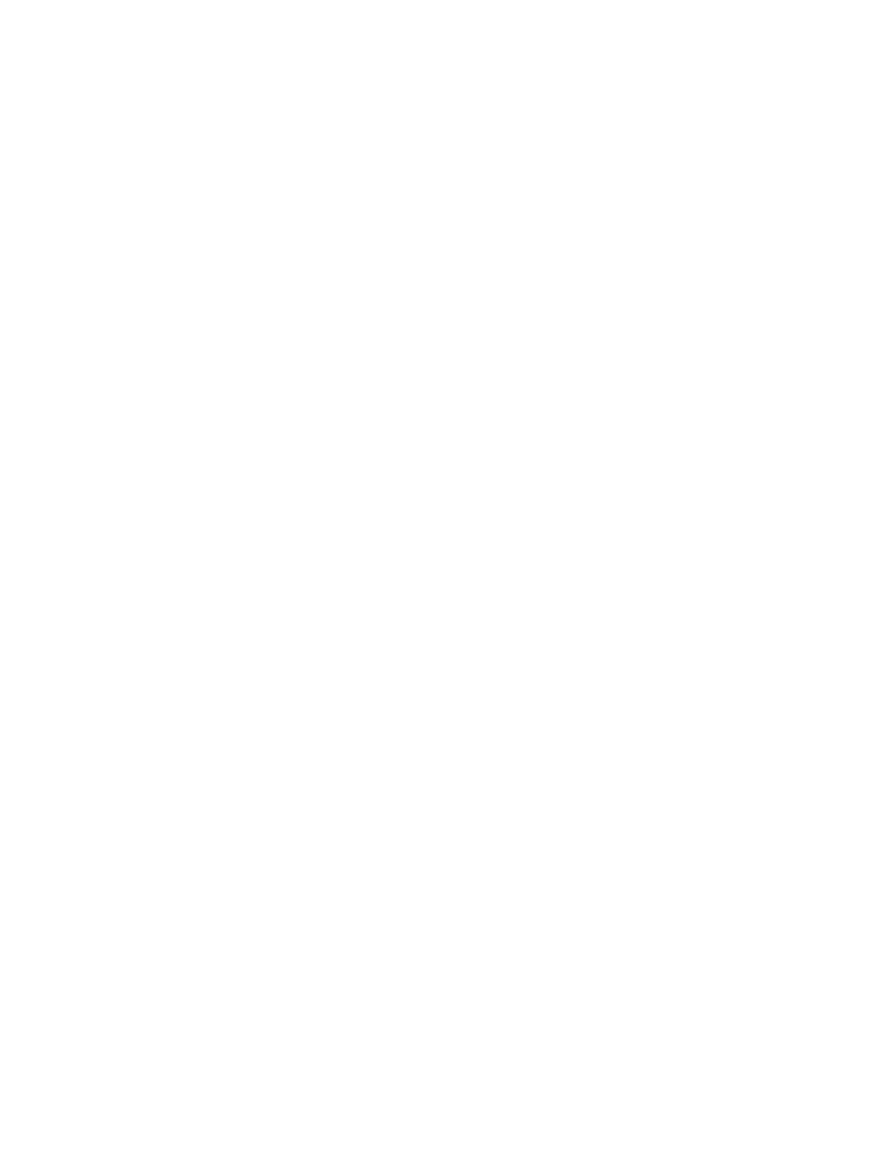| : 3 & RORQ / 3 $$UIIHND$ 6Y ) DP LOD & + & UHF |                      |                                 | $8 + 8$              |                                        | %DVH6FRUHFDLG &+&<br>: DONHULV 7RS & ROWLEXWRULQ 1<0 ZLQ |                                               | $8+8$ # 1<0 |        |               | d u                                                      |                          |
|------------------------------------------------|----------------------|---------------------------------|----------------------|----------------------------------------|----------------------------------------------------------|-----------------------------------------------|-------------|--------|---------------|----------------------------------------------------------|--------------------------|
|                                                |                      |                                 |                      | <u>' u ^ } Œr Zuv• C/vv]vP</u>         |                                                          |                                               |             |        |               |                                                          |                          |
|                                                | ìí<br>ìî             | ìΪ                              | ìð                   | ìñ<br>ìò                               | ìó<br>ìô                                                 | ìõ<br>d}šo                                    |             |        |               |                                                          |                          |
| $8 + 8$<br>1 < 0                               |                      |                                 |                      |                                        |                                                          |                                               |             |        |               |                                                          |                          |
|                                                |                      | Wb Ç Œ                          |                      |                                        | $5\%$                                                    | 2 Q%V 6 VDWXV                                 | %DVHV       | 30 NHJ |               | WoÇŒE u ð^}Œ                                             |                          |
| /vv]vP K‰W)§Z0E                                | Z} XX ŠKŒ C          | 8 još Œ<br>$\pmb{\circledcirc}$ | $\pmb{\circledcirc}$ | WoÇ                                    | & UHGLWIRU5 XQ<br>$\pmb{\circledcirc}$                   | 3\$ %5 %DVHV                                  | 3 XVKHG     | 6FRUH  |               |                                                          | d u                      |
|                                                | í.                   | $=$ REUMV                       | $\prime$ '           |                                        |                                                          | $\begin{array}{c} i \ W \\ i \ Z \end{array}$ |             |        | Wo Ç Œ        | Vÿ∙]Ÿ} v                                                 | $\overline{\phantom{a}}$ |
|                                                | Î.                   | $+HZDUS$                        | * $%$                | $($ URU                                |                                                          | í W<br>$i$ Z                                  |             |        | zjì ì }       | í                                                        | íð                       |
| } o vU X                                       | T.                   | <b>%UDOW</b>                    | 38                   |                                        |                                                          | ìW<br>ìZ                                      |             |        | $\cdot$ } OEš | î rZ&                                                    | $\tilde{\mathbf{o}}$     |
|                                                | ð                    | 54]R                            | 38                   |                                        |                                                          | $\begin{array}{c} i & W \\ i & Z \end{array}$ |             |        | 0Ç vš         | $\ddot{\rm I}$                                           |                          |
|                                                | ñ                    | & ROWHUDV                       |                      | $\sim$                                 |                                                          | ìW<br>ìZ                                      |             |        | , ÇÁ Œ        | &                                                        | $\Gamma$                 |
|                                                | ò                    | 0 RQMUR                         |                      | $:$ DON $)$ 2 G                        |                                                          | í W<br>$i$ Z                                  |             |        | D} vš OE      |                                                          | $\Gamma_{\rm c}$         |
| } o vU X                                       | ó                    | 5 XVMO                          | $*$ %                | )2                                     |                                                          | í W<br>i Z                                    |             |        | OŒEš          | W                                                        | $\mathbf{f}$ .           |
|                                                | ô                    | & RJKODQ                        | ) %                  |                                        |                                                          | i W<br>$i$ Z                                  |             |        | j.            | Wrî                                                      | $\mathbf{i}$             |
|                                                | $\tilde{\mathrm{O}}$ | \$ ULLHAD                       | $*$ %                | 6LQJOH '3G                             |                                                          | í W<br>$i$ Z                                  |             |        | } PZo v       | Z&                                                       | $\mathbf{i}$             |
| } o vU X                                       | $-11$                | $=$ REUMV                       | $*$ %                | '3                                     |                                                          | i W<br>$i$ Z                                  |             |        | } všOEOE      | $\rtimes$                                                | $\mathbf{i}$             |
|                                                | íí                   | $+HZDUS$                        | $*$ %                |                                        |                                                          | ìW<br>$i \, z$                                |             |        | Z} ••         | W                                                        | $\mathbf{1}$             |
|                                                | íî                   | <b>%UDOW</b>                    | $\prime$ .           | $61QJ$ $\Theta$                        |                                                          | í W<br>$i \quad z$                            |             |        | Zµ⊷ oo        | $\sim$                                                   | i.                       |
|                                                | íï                   | 54]R                            | ) %                  | $+RP$ H <sub>5</sub> $XQ\&$            |                                                          | ðW<br>$i$ Z                                   |             |        | $t$ } }       | WZ o                                                     | $\mathbf{H}$             |
|                                                | íð                   | & ROWHUDV                       | $*$ %                |                                        |                                                          | ìW<br>$i$ Z                                   |             |        |               |                                                          |                          |
| } ovU X                                        | íñ                   | 0 RQMUR                         | $*$ %                | $61QJ$ $\Theta$                        |                                                          | í W<br>$i$ Z                                  |             |        |               |                                                          |                          |
|                                                | íò                   | 5 XVMO                          | ) %                  |                                        |                                                          | i W<br>$i$ Z                                  |             |        |               | 6 FRUHFDUG<br>6 SRQVRUHG%                                |                          |
|                                                | íó                   | %DHJ                            | $*$ %                |                                        |                                                          | i W<br>$i$ $z$                                |             |        |               |                                                          |                          |
|                                                | íô                   | \$ WILHAD                       |                      | $\epsilon$                             |                                                          | i W<br>ìZ                                     |             |        |               |                                                          |                          |
|                                                | íõ                   | $=$ REUMV                       |                      | : DON                                  |                                                          | í W<br>ìZ                                     |             |        |               |                                                          |                          |
| } o vU X                                       | îì                   | $+HZDUS$                        | ) %                  |                                        |                                                          | i W<br>$i$ Z                                  |             |        |               |                                                          |                          |
|                                                | îí                   | <b>%UDOW</b>                    |                      | $\ddot{\phantom{1}}$                   |                                                          | ìW<br>i Z                                     |             |        |               |                                                          |                          |
|                                                | îî                   | $5 \text{ H}$ R                 |                      | $\bullet$                              |                                                          | i W<br>$i$ Z                                  |             |        | <b>HUIG</b>   | KWOSV LWACHN DSSOH FRP XV DSS JR<br>PHDODOG ILIQHW WIDFN | "PW                      |
|                                                | $\hat{1}$            | & ROWHUDV                       |                      | $\sim$                                 |                                                          | ìW<br>i Z                                     |             |        |               |                                                          |                          |
| } o vU X                                       | îŏ                   | 0 RQMUR                         |                      | $:$ DON                                |                                                          | í W<br>$i$ Z                                  |             |        |               |                                                          |                          |
|                                                | îñ                   | 5 XVVHO                         | * %                  |                                        |                                                          | ìW<br>$i$ Z                                   |             |        |               |                                                          |                          |
|                                                | îò                   | %DHJ                            |                      | $\sim$                                 |                                                          | ìW<br>$i$ Z                                   |             |        |               |                                                          |                          |
| $\left\{ \cdot \right\}$<br><b>d</b> UX îó     |                      | : RRG                           | $^*$ %               |                                        |                                                          | ìW<br>$i$ Z                                   |             |        |               |                                                          |                          |
|                                                | îô                   | $=$ REUMV                       | ) %                  | $+RP$ H <sub>5</sub> XQ <sub>5</sub> ) |                                                          | ðW<br>ìZ                                      |             |        |               |                                                          |                          |
| o Àlv∙UX                                       | ÎÕ                   | $+HZDUS$                        |                      | : DON QG 3                             |                                                          | í W<br>$i$ Z                                  |             |        |               |                                                          |                          |
| Z UX                                           | Tì.                  | <b>VIOLUX</b>                   |                      | $\mathcal{A}^{\mathcal{A}}$ and        |                                                          | ìW<br>$i$ Z                                   |             |        |               |                                                          |                          |
|                                                | ΪĹ                   | 5 L ] R                         | * $%$                | 6100                                   |                                                          | í W<br>$i$ Z                                  |             |        |               |                                                          |                          |
|                                                | Tî.                  | & ROWHUDV                       |                      | $\mathcal{L}_{\mathrm{max}}$           |                                                          | ìW                                            |             |        |               |                                                          |                          |
| Z UX                                           | $\top$               | 0 RQMUR                         |                      | $\blacksquare$                         |                                                          | $i$ Z<br>i W                                  |             |        |               |                                                          |                          |
|                                                | ïð                   | 5 XVMO                          |                      | $\ddot{\phantom{1}}$                   |                                                          | ìZ<br>ìW                                      |             |        |               |                                                          |                          |
|                                                | ïñ                   | %DHJ                            |                      | $\epsilon$                             |                                                          | ìZ<br>i W                                     |             |        |               |                                                          |                          |
| & u ]o UX                                      | ïò                   | 5 RW                            | * $%$                |                                        |                                                          | ìZ<br>ìW                                      |             |        |               |                                                          |                          |
|                                                |                      |                                 |                      |                                        |                                                          | $i$ Z<br>i W                                  |             |        |               |                                                          |                          |
|                                                | ΪÓ                   | $=$ REUMV                       | 38                   |                                        |                                                          | i Z                                           |             |        | &UHGLW 3\$    | %                                                        | %DM-N 30MH               |

 $8 + 8$ 

**HATM**  $3M$  300\HU<br>6FRUH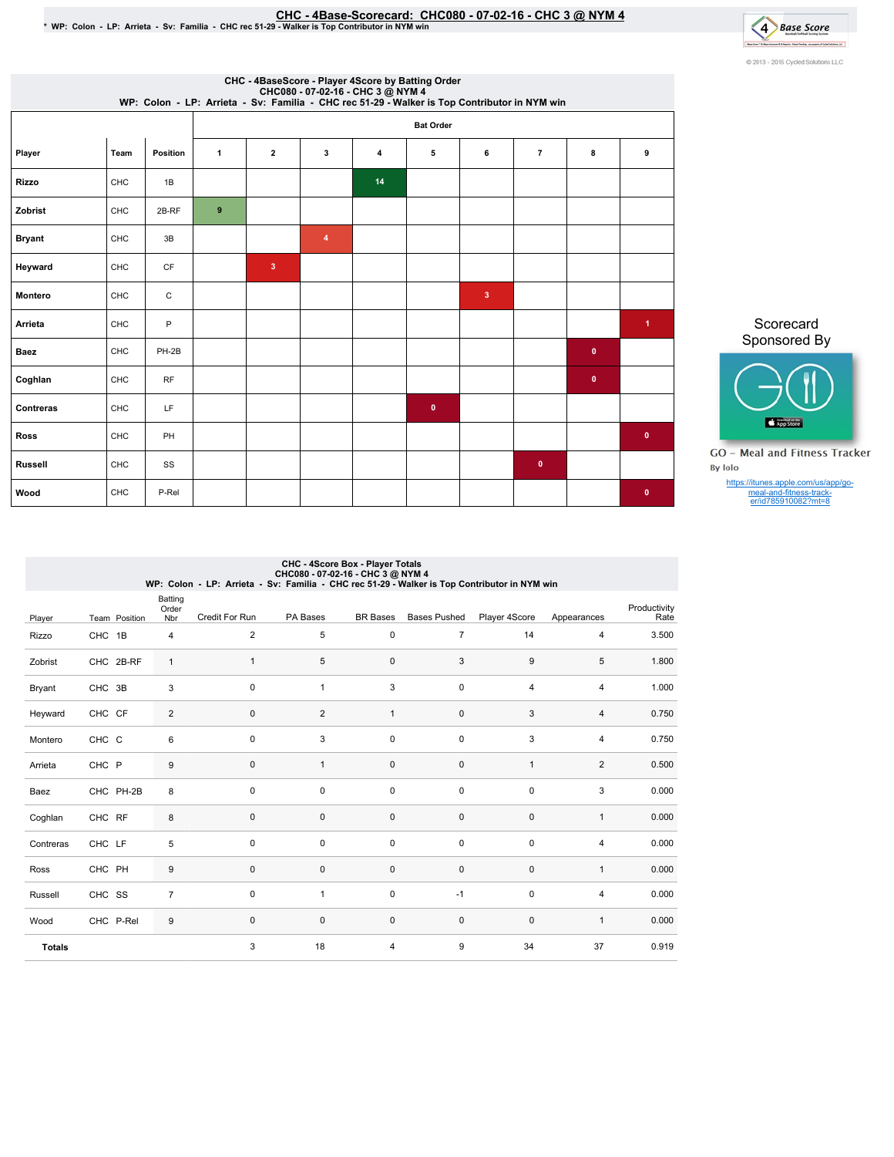# EHC - 4Base-Scorecard: CHC080 - 07-02-16 - CHC 3 @ NYM 4<br>\* WP: Colon - LP: Arrieta - Sv: Familia - CHC rec 51-29 - Walker is Top Contributor in NYM win



|                | CHC - 4BaseScore - Player 4Score by Batting Order<br>CHC080 - 07-02-16 - CHC 3 @ NYM 4<br>WP: Colon - LP: Arrieta - Sv: Familia - CHC rec 51-29 - Walker is Top Contributor in NYM win |              |              |                         |   |                |              |              |                |           |                      |  |  |  |
|----------------|----------------------------------------------------------------------------------------------------------------------------------------------------------------------------------------|--------------|--------------|-------------------------|---|----------------|--------------|--------------|----------------|-----------|----------------------|--|--|--|
|                | <b>Bat Order</b>                                                                                                                                                                       |              |              |                         |   |                |              |              |                |           |                      |  |  |  |
| Player         | Team                                                                                                                                                                                   | Position     | $\mathbf{1}$ | $\overline{2}$          | 3 | $\overline{4}$ | 5            | 6            | $\overline{7}$ | 8         | 9                    |  |  |  |
| <b>Rizzo</b>   | CHC                                                                                                                                                                                    | 1B           |              |                         |   | 14             |              |              |                |           |                      |  |  |  |
| Zobrist        | CHC                                                                                                                                                                                    | 2B-RF        | $\pmb{9}$    |                         |   |                |              |              |                |           |                      |  |  |  |
| <b>Bryant</b>  | CHC                                                                                                                                                                                    | 3B           |              |                         | 4 |                |              |              |                |           |                      |  |  |  |
| Heyward        | CHC                                                                                                                                                                                    | <b>CF</b>    |              | $\overline{\mathbf{3}}$ |   |                |              |              |                |           |                      |  |  |  |
| Montero        | CHC                                                                                                                                                                                    | $\mathtt{C}$ |              |                         |   |                |              | $\mathbf{3}$ |                |           |                      |  |  |  |
| Arrieta        | CHC                                                                                                                                                                                    | P            |              |                         |   |                |              |              |                |           | $\blacktriangleleft$ |  |  |  |
| <b>Baez</b>    | CHC                                                                                                                                                                                    | PH-2B        |              |                         |   |                |              |              |                | $\bullet$ |                      |  |  |  |
| Coghlan        | CHC                                                                                                                                                                                    | <b>RF</b>    |              |                         |   |                |              |              |                | $\bullet$ |                      |  |  |  |
| Contreras      | CHC                                                                                                                                                                                    | LF           |              |                         |   |                | $\mathbf{0}$ |              |                |           |                      |  |  |  |
| <b>Ross</b>    | CHC                                                                                                                                                                                    | PH           |              |                         |   |                |              |              |                |           | $\bullet$            |  |  |  |
| <b>Russell</b> | CHC                                                                                                                                                                                    | SS           |              |                         |   |                |              |              | $\mathbf{0}$   |           |                      |  |  |  |
| Wood           | CHC                                                                                                                                                                                    | P-Rel        |              |                         |   |                |              |              |                |           | $\mathbf{0}$         |  |  |  |

Scorecard Sponsored By



**GO** - Meal and Fitness Tracker By Iolo



## Ratti CHC - 4Score Box - Player Totals<br>CHC080 - 07-02-16 - CHC 3 @ NYM 4<br>WP: Colon - LP: Arrieta - Sv: Familia - CHC rec 51-29 - Walker is Top Contributor in NYM win

| Player        |           | Team Position | Datuny<br>Order<br>Nbr    | Credit For Run | PA Bases       | <b>BR</b> Bases | <b>Bases Pushed</b> | Player 4Score | Appearances    | Productivity<br>Rate |
|---------------|-----------|---------------|---------------------------|----------------|----------------|-----------------|---------------------|---------------|----------------|----------------------|
| Rizzo         | CHC 1B    |               | 4                         | $\overline{2}$ | 5              | $\pmb{0}$       | $\overline{7}$      | 14            | 4              | 3.500                |
| Zobrist       |           | CHC 2B-RF     | $\mathbf{1}$              | $\mathbf{1}$   | 5              | $\pmb{0}$       | 3                   | 9             | 5              | 1.800                |
| Bryant        | CHC 3B    |               | $\ensuremath{\mathsf{3}}$ | 0              | 1              | 3               | $\pmb{0}$           | 4             | $\overline{4}$ | 1.000                |
| Heyward       | CHC CF    |               | $\overline{2}$            | 0              | $\overline{2}$ | $\mathbf{1}$    | $\pmb{0}$           | 3             | 4              | 0.750                |
| Montero       | CHC C     |               | 6                         | $\mathbf 0$    | 3              | $\mathbf 0$     | $\pmb{0}$           | 3             | $\overline{4}$ | 0.750                |
| Arrieta       | CHC P     |               | $9\,$                     | 0              | $\mathbf{1}$   | $\pmb{0}$       | $\pmb{0}$           | $\mathbf{1}$  | $\overline{2}$ | 0.500                |
| Baez          |           | CHC PH-2B     | 8                         | 0              | 0              | 0               | $\pmb{0}$           | $\pmb{0}$     | 3              | 0.000                |
| Coghlan       | CHC RF    |               | $\bf 8$                   | 0              | 0              | $\pmb{0}$       | $\pmb{0}$           | $\pmb{0}$     | $\mathbf{1}$   | 0.000                |
| Contreras     | CHC LF    |               | 5                         | 0              | 0              | $\pmb{0}$       | $\pmb{0}$           | $\pmb{0}$     | $\overline{4}$ | 0.000                |
| Ross          | CHC PH    |               | $\boldsymbol{9}$          | 0              | $\mathbf 0$    | $\pmb{0}$       | $\pmb{0}$           | $\pmb{0}$     | $\mathbf{1}$   | 0.000                |
| Russell       | CHC SS    |               | $\overline{7}$            | 0              | 1              | $\pmb{0}$       | $-1$                | $\pmb{0}$     | 4              | 0.000                |
| Wood          | CHC P-Rel |               | $9\,$                     | 0              | $\pmb{0}$      | $\pmb{0}$       | $\pmb{0}$           | $\pmb{0}$     | $\mathbf{1}$   | 0.000                |
| <b>Totals</b> |           |               |                           | 3              | 18             | 4               | 9                   | 34            | 37             | 0.919                |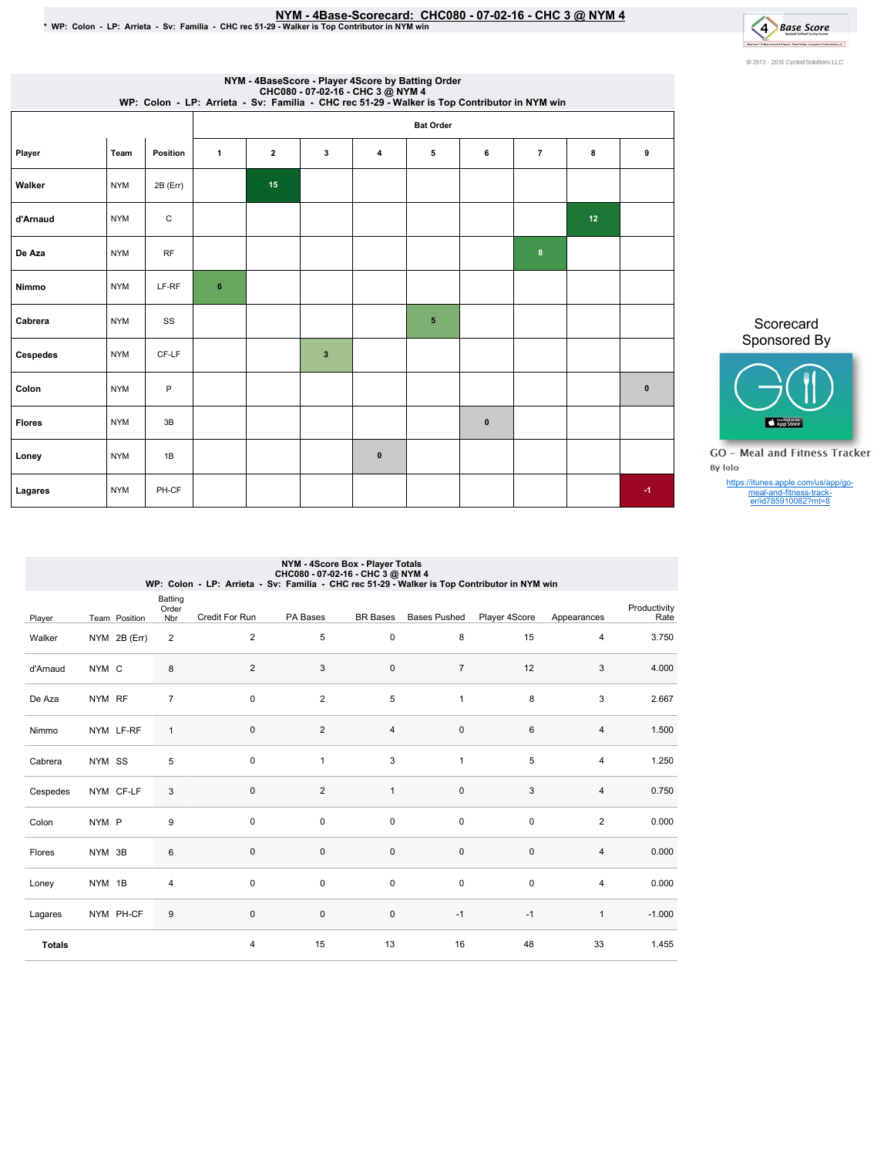# NYM - 4Base-Scorecard: CHC080 - 07-02-16 - CHC 3 @ NYM 4 \* "<br>\* WP: Colon - LP: Arrieta - Sv: Familia - CHC rec 51-29 - Walker is Top Contributor in NYM win

4 Base Score .<br>Eligente Resolution en proprie d'Ordel Molane, Ed. ... (mm) C 2013 - 2016 Cycled Solutions LLC

|                 | NYM - 4BaseScore - Player 4Score by Batting Order<br>CHC080 - 07-02-16 - CHC 3 @ NYM 4<br>WP: Colon - LP: Arrieta - Sv: Familia - CHC rec 51-29 - Walker is Top Contributor in NYM win |             |                |                |                         |                |   |           |                |    |           |  |  |  |
|-----------------|----------------------------------------------------------------------------------------------------------------------------------------------------------------------------------------|-------------|----------------|----------------|-------------------------|----------------|---|-----------|----------------|----|-----------|--|--|--|
|                 | <b>Bat Order</b>                                                                                                                                                                       |             |                |                |                         |                |   |           |                |    |           |  |  |  |
| Player          | Team                                                                                                                                                                                   | Position    | $\mathbf{1}$   | $\overline{2}$ | 3                       | $\overline{4}$ | 5 | 6         | $\overline{7}$ | 8  | 9         |  |  |  |
| Walker          | <b>NYM</b>                                                                                                                                                                             | 2B (Err)    |                | 15             |                         |                |   |           |                |    |           |  |  |  |
| d'Arnaud        | <b>NYM</b>                                                                                                                                                                             | $\mathsf C$ |                |                |                         |                |   |           |                | 12 |           |  |  |  |
| De Aza          | <b>NYM</b>                                                                                                                                                                             | RF          |                |                |                         |                |   |           | $\bf8$         |    |           |  |  |  |
| Nimmo           | <b>NYM</b>                                                                                                                                                                             | LF-RF       | $6\phantom{1}$ |                |                         |                |   |           |                |    |           |  |  |  |
| Cabrera         | <b>NYM</b>                                                                                                                                                                             | SS          |                |                |                         |                | 5 |           |                |    |           |  |  |  |
| <b>Cespedes</b> | <b>NYM</b>                                                                                                                                                                             | CF-LF       |                |                | $\overline{\mathbf{3}}$ |                |   |           |                |    |           |  |  |  |
| Colon           | <b>NYM</b>                                                                                                                                                                             | $\sf P$     |                |                |                         |                |   |           |                |    | $\pmb{0}$ |  |  |  |
| <b>Flores</b>   | <b>NYM</b>                                                                                                                                                                             | 3B          |                |                |                         |                |   | $\pmb{0}$ |                |    |           |  |  |  |
| Loney           | <b>NYM</b>                                                                                                                                                                             | 1B          |                |                |                         | $\pmb{0}$      |   |           |                |    |           |  |  |  |
| Lagares         | <b>NYM</b>                                                                                                                                                                             | PH-CF       |                |                |                         |                |   |           |                |    | $-1$      |  |  |  |

| Sponsored By                  |
|-------------------------------|
|                               |
| GO - Meal and Fitness Tracker |

Scorecard

By Iolo https://itunes.apple.com/us/app/go-meal-and-fitness-track-er/id785910082?mt=8

| NYM - 4Score Box - Player Totals                                                             |  |
|----------------------------------------------------------------------------------------------|--|
| CHC080 - 07-02-16 - CHC 3 @ NYM 4                                                            |  |
| WP: Colon - LP: Arrieta - Sv: Familia - CHC rec 51-29 - Walker is Top Contributor in NYM win |  |
| $D = 441 - 14$                                                                               |  |

| Player        |        | Team Position | Batting<br>Order<br>Nbr | Credit For Run | PA Bases       | <b>BR</b> Bases | <b>Bases Pushed</b> | Player 4Score | Appearances    | Productivity<br>Rate |
|---------------|--------|---------------|-------------------------|----------------|----------------|-----------------|---------------------|---------------|----------------|----------------------|
| Walker        |        | NYM 2B (Err)  | $\overline{2}$          | $\overline{2}$ | 5              | 0               | 8                   | 15            | 4              | 3.750                |
| d'Arnaud      | NYM C  |               | 8                       | $\overline{2}$ | 3              | $\pmb{0}$       | $\overline{7}$      | 12            | 3              | 4.000                |
| De Aza        | NYM RF |               | $\overline{7}$          | $\mathbf 0$    | $\overline{2}$ | 5               | $\mathbf{1}$        | 8             | 3              | 2.667                |
| Nimmo         |        | NYM LF-RF     | $\mathbf{1}$            | $\mathsf 0$    | $\overline{2}$ | $\overline{4}$  | $\pmb{0}$           | 6             | 4              | 1.500                |
| Cabrera       | NYM SS |               | 5                       | $\mathsf 0$    | $\mathbf{1}$   | 3               | $\mathbf{1}$        | 5             | $\overline{4}$ | 1.250                |
| Cespedes      |        | NYM CF-LF     | 3                       | $\pmb{0}$      | $\overline{2}$ | $\mathbf{1}$    | $\pmb{0}$           | 3             | $\overline{4}$ | 0.750                |
| Colon         | NYM P  |               | 9                       | $\pmb{0}$      | $\mathbf 0$    | $\mathbf 0$     | $\pmb{0}$           | $\mathbf 0$   | 2              | 0.000                |
| Flores        | NYM 3B |               | 6                       | $\mathbf 0$    | $\mathbf 0$    | $\mathbf 0$     | $\pmb{0}$           | $\mathbf 0$   | 4              | 0.000                |
| Loney         | NYM 1B |               | $\overline{4}$          | $\pmb{0}$      | $\mathbf 0$    | $\mathbf 0$     | $\pmb{0}$           | $\mathbf 0$   | 4              | 0.000                |
| Lagares       |        | NYM PH-CF     | 9                       | $\mathbf 0$    | $\mathsf 0$    | $\mathsf 0$     | $-1$                | $-1$          | $\mathbf{1}$   | $-1.000$             |
| <b>Totals</b> |        |               |                         | 4              | 15             | 13              | 16                  | 48            | 33             | 1.455                |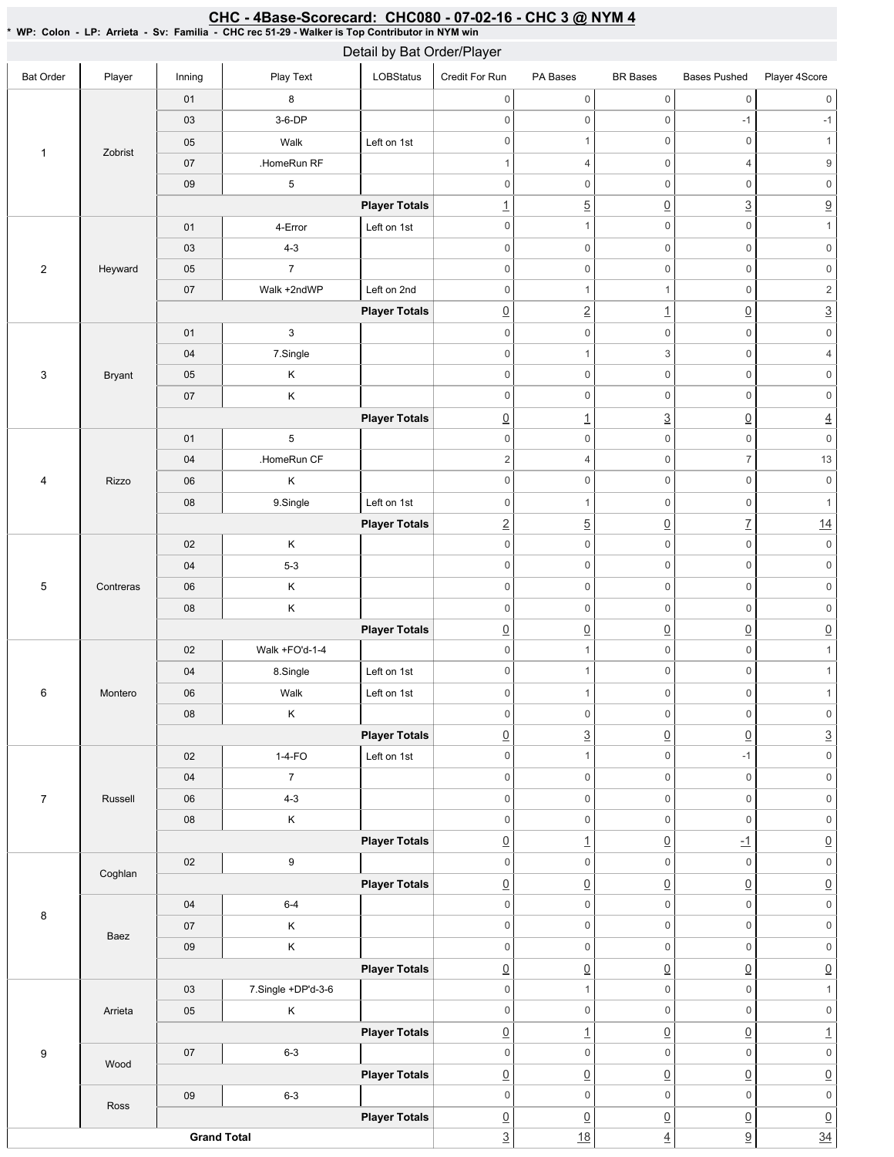| Detail by Bat Order/Player |               |                    |                           |                      |                     |                          |                     |                           |                          |  |  |  |  |
|----------------------------|---------------|--------------------|---------------------------|----------------------|---------------------|--------------------------|---------------------|---------------------------|--------------------------|--|--|--|--|
| <b>Bat Order</b>           | Player        | Inning             | Play Text                 | <b>LOBStatus</b>     | Credit For Run      | PA Bases                 | <b>BR</b> Bases     | <b>Bases Pushed</b>       | Player 4Score            |  |  |  |  |
|                            |               | 01                 | 8                         |                      | $\mathsf 0$         | $\mathsf{O}\xspace$      | $\pmb{0}$           | $\mathsf 0$               | $\mathbf 0$              |  |  |  |  |
|                            |               | 03                 | $3-6-DP$                  |                      | $\mathsf{O}\xspace$ | $\mathbf 0$              | $\mathsf 0$         | $-1$                      | $-1$                     |  |  |  |  |
|                            |               | 05                 | Walk                      | Left on 1st          | $\boldsymbol{0}$    | 1                        | $\mathbf 0$         | $\mathsf 0$               | $\mathbf{1}$             |  |  |  |  |
| $\mathbf{1}$               | Zobrist       | 07                 | .HomeRun RF               |                      | 1                   | $\overline{4}$           | $\mathsf{O}\xspace$ | $\overline{4}$            | $\boldsymbol{9}$         |  |  |  |  |
|                            |               | 09                 | 5                         |                      | $\mathbf 0$         | $\mathbf 0$              | $\mathsf 0$         | $\mathsf 0$               | $\mathsf{0}$             |  |  |  |  |
|                            |               |                    |                           | <b>Player Totals</b> | $\overline{1}$      | $\overline{5}$           | $\overline{0}$      | $\underline{3}$           | $\underline{9}$          |  |  |  |  |
|                            |               | 01                 | 4-Error                   | Left on 1st          | $\mathbf 0$         | $\mathbf{1}$             | $\mathsf 0$         | $\mathbf 0$               | $\mathbf{1}$             |  |  |  |  |
|                            |               | 03                 | $4 - 3$                   |                      | $\mathbf 0$         | $\mathbf 0$              | $\mathsf 0$         | $\mathsf 0$               | $\mathbf 0$              |  |  |  |  |
| $\overline{2}$             | Heyward       | 05                 | $\overline{7}$            |                      | $\mathsf{O}\xspace$ | $\mathsf{O}\xspace$      | $\mathsf 0$         | $\mathsf 0$               | $\mathbf 0$              |  |  |  |  |
|                            |               | 07                 | Walk +2ndWP               | Left on 2nd          | $\mathbf 0$         | $\mathbf{1}$             | $\mathbf{1}$        | $\mathsf{O}\xspace$       | $\sqrt{2}$               |  |  |  |  |
|                            |               |                    |                           | <b>Player Totals</b> | $\underline{0}$     | $\underline{2}$          | $\overline{1}$      | $\underline{0}$           | $\overline{3}$           |  |  |  |  |
|                            |               | 01                 | $\ensuremath{\mathsf{3}}$ |                      | $\mathsf{O}\xspace$ | $\mathbf 0$              | $\mathsf{O}\xspace$ | $\mathbf 0$               | $\mathsf{O}\xspace$      |  |  |  |  |
|                            |               | 04                 | 7.Single                  |                      | $\mathbf 0$         | 1                        | 3                   | $\mathsf 0$               | $\sqrt{4}$               |  |  |  |  |
| 3                          | <b>Bryant</b> | 05                 | Κ                         |                      | $\mathbf 0$         | $\mathbf 0$              | $\mathsf 0$         | $\mathbf 0$               | $\mathbb O$              |  |  |  |  |
|                            |               | 07                 | Κ                         |                      | $\boldsymbol{0}$    | $\mathsf 0$              | $\mathbf 0$         | $\mathsf{O}\xspace$       | $\mathsf{O}\xspace$      |  |  |  |  |
|                            |               |                    |                           | <b>Player Totals</b> | $\underline{0}$     | $\overline{1}$           | $\overline{3}$      | $\underline{0}$           | $\overline{4}$           |  |  |  |  |
|                            |               | 01                 | 5                         |                      | $\mathbf 0$         | $\mathsf 0$              | $\mathsf{O}\xspace$ | $\mathsf{O}\xspace$       | $\mathsf{O}\xspace$      |  |  |  |  |
|                            |               | 04                 | .HomeRun CF               |                      | $\overline{2}$      | $\overline{4}$           | $\mathbf 0$         | $\boldsymbol{7}$          | 13                       |  |  |  |  |
| 4                          | Rizzo         | 06                 | Κ                         |                      | $\mathbf 0$         | $\mathsf 0$              | $\mathsf{O}\xspace$ | $\mathsf{O}\xspace$       | $\mathbf 0$              |  |  |  |  |
|                            |               | 08                 | 9.Single                  | Left on 1st          | $\mathbf 0$         | $\mathbf{1}$             | $\mathsf{O}\xspace$ | $\mathsf 0$               | $\mathbf{1}$             |  |  |  |  |
|                            |               |                    |                           | <b>Player Totals</b> | $\mathbf 2$         | $\overline{5}$           | $\overline{0}$      | $\underline{\mathcal{I}}$ | 14                       |  |  |  |  |
|                            |               | 02                 | Κ                         |                      | $\mathbf 0$         | $\mathsf 0$              | $\mathsf{O}\xspace$ | $\mathsf{O}\xspace$       | $\mathsf{O}\xspace$      |  |  |  |  |
|                            |               | 04                 | $5-3$                     |                      | $\mathbf 0$         | $\mathbf 0$              | $\mathsf 0$         | $\mathsf 0$               | $\mathsf{O}\xspace$      |  |  |  |  |
| 5                          | Contreras     | 06                 | K                         |                      | $\mathsf 0$         | $\mathbf 0$              | $\mathsf 0$         | $\mathsf 0$               | $\mathsf{O}\xspace$      |  |  |  |  |
|                            |               | 08                 | Κ                         |                      | $\mathbf 0$         | $\mathsf{O}\xspace$      | $\mathsf{O}\xspace$ | $\mathsf 0$               | $\mathsf{O}\xspace$      |  |  |  |  |
|                            |               |                    |                           | <b>Player Totals</b> | $\underline{0}$     | $\underline{0}$          | $\overline{0}$      | $\underline{0}$           | $\underline{0}$          |  |  |  |  |
|                            |               | 02                 | Walk +FO'd-1-4            |                      | $\mathsf 0$         | $\mathbf{1}$             | $\mathbf 0$         | $\mathsf{O}\xspace$       | $\mathbf{1}$             |  |  |  |  |
|                            |               | 04                 | 8.Single                  | Left on 1st          | $\mathbf 0$         | $\mathbf{1}$             | $\mathsf{O}\xspace$ | $\mathsf{O}\xspace$       | $\mathbf{1}$             |  |  |  |  |
| 6                          | Montero       | $06\,$             | Walk                      | Left on 1st          | $\mathsf 0$         | $\mathbf{1}$             | $\mathbf 0$         | 0                         |                          |  |  |  |  |
|                            |               | 08                 | Κ                         |                      | $\mathsf 0$         | $\mathsf{O}\xspace$      | $\mathsf 0$         | $\mathbf 0$               | $\mathsf{O}\xspace$      |  |  |  |  |
|                            |               |                    |                           | <b>Player Totals</b> | $\underline{0}$     | $\overline{3}$           | $\overline{0}$      | $\underline{0}$           | $\underline{3}$          |  |  |  |  |
|                            |               | 02                 | $1-4-FO$                  | Left on 1st          | $\mathbf 0$         | $\mathbf{1}$             | $\mathsf{O}\xspace$ | $-1$                      | $\mathsf{O}\xspace$      |  |  |  |  |
|                            |               | $04\,$             | $\overline{7}$            |                      | $\mathsf 0$         | $\mathsf{O}\xspace$      | $\mathsf 0$         | $\mathsf{0}$              | $\mathsf{O}\xspace$      |  |  |  |  |
| $\boldsymbol{7}$           | Russell       | 06                 | $4 - 3$                   |                      | $\mathbf 0$         | $\mathsf{O}\xspace$      | $\mathsf 0$         | $\mathsf{O}$              | $\mathsf{O}\xspace$      |  |  |  |  |
|                            |               | ${\bf 08}$         | $\mathsf K$               |                      | $\mathbf 0$         | $\mathsf{O}\xspace$      | $\mathsf 0$         | $\mathsf{0}$              | $\mathsf{0}$             |  |  |  |  |
|                            |               |                    |                           | <b>Player Totals</b> | $\underline{0}$     | $\overline{1}$           | $\underline{0}$     | $-1$                      | $\underline{0}$          |  |  |  |  |
|                            | Coghlan       | 02                 | 9                         |                      | $\mathsf{O}\xspace$ | $\mathsf{O}\xspace$      | $\mathsf{O}\xspace$ | $\mathbf 0$               | $\mathsf{O}\xspace$      |  |  |  |  |
|                            |               |                    |                           | <b>Player Totals</b> | $\underline{0}$     | $\underline{0}$          | $\underline{0}$     | $\underline{0}$           | $\underline{0}$          |  |  |  |  |
| 8                          |               | 04                 | $6 - 4$                   |                      | $\boldsymbol{0}$    | $\mathsf{O}\xspace$      | $\mathsf{O}\xspace$ | $\mathsf{O}\xspace$       | $\mathsf{O}\xspace$      |  |  |  |  |
|                            | Baez          | $07\,$             | Κ                         |                      | $\mathbf 0$         | $\mathsf{O}\xspace$      | $\mathsf 0$         | $\mathsf{O}\xspace$       | $\mathsf{0}$             |  |  |  |  |
|                            |               | 09                 | $\sf K$                   |                      | $\mathbf 0$         | $\mathsf{O}\xspace$      | $\mathsf 0$         | $\mathsf{O}\xspace$       | $\mathsf{O}\xspace$      |  |  |  |  |
|                            |               |                    |                           | <b>Player Totals</b> | $\underline{0}$     | $\underline{0}$          | $\underline{0}$     | $\underline{0}$           | $\underline{0}$          |  |  |  |  |
|                            |               | 03                 | 7.Single +DP'd-3-6        |                      | $\mathbf 0$         | $\mathbf{1}$             | $\mathsf{O}\xspace$ | $\mathsf{O}\xspace$       | $\mathbf{1}$             |  |  |  |  |
|                            | Arrieta       | $05\,$             | Κ                         |                      | $\mathbf 0$         | $\mathsf{O}\xspace$      | $\mathsf 0$         | $\mathsf{O}\xspace$       | $\mathsf{O}\xspace$      |  |  |  |  |
|                            |               |                    |                           | <b>Player Totals</b> | $\underline{0}$     | $\underline{\mathbf{1}}$ | $\underline{0}$     | $\underline{0}$           | $\underline{\mathbf{1}}$ |  |  |  |  |
| 9                          | Wood          | $07\,$             | $6 - 3$                   |                      | $\mathsf{O}\xspace$ | $\mathsf{O}\xspace$      | $\mathsf 0$         | $\mathsf{O}\xspace$       | $\mathsf{O}\xspace$      |  |  |  |  |
|                            |               |                    |                           | <b>Player Totals</b> | $\underline{0}$     | $\underline{0}$          | $\underline{0}$     | $\underline{0}$           | $\underline{0}$          |  |  |  |  |
|                            | Ross          | $09\,$             | $6 - 3$                   |                      | $\mathsf 0$         | $\mathsf{O}\xspace$      | $\mathsf{O}\xspace$ | $\mathsf{O}\xspace$       | $\mathsf{O}\xspace$      |  |  |  |  |
|                            |               |                    |                           | <b>Player Totals</b> | $\underline{0}$     | $\underline{0}$          | $\underline{0}$     | $\underline{0}$           | $\underline{0}$          |  |  |  |  |
|                            |               | <b>Grand Total</b> |                           |                      | $\underline{3}$     | 18                       | $\overline{4}$      | $\underline{9}$           | $\overline{34}$          |  |  |  |  |

<u>CHC - 4Base-Scorecard: CHC080 - 07-02-16 - CHC 3 @ NYM 4</u>

\*WP:Colon-LP:Arrieta-Sv:Familia-CHCrec51-29-WalkerisTopContributorinNYMwin